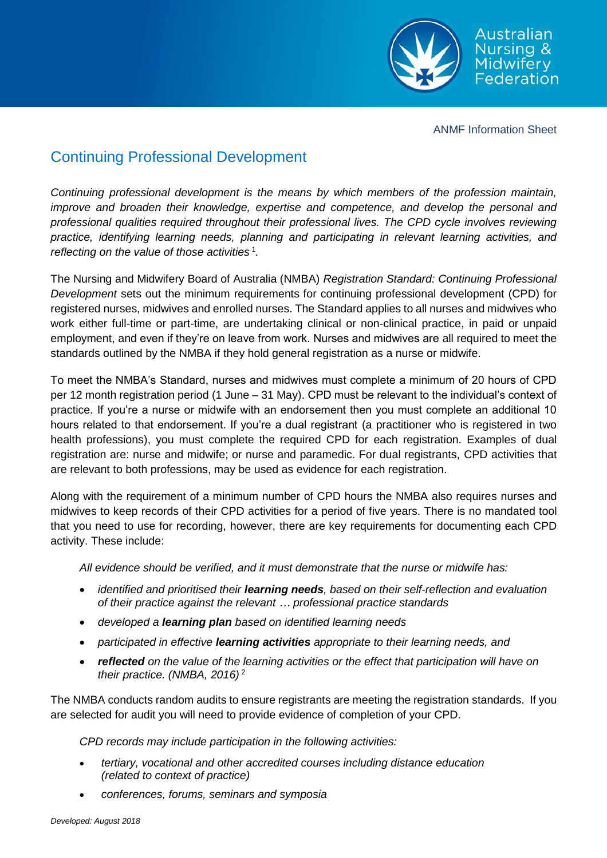

ANMF Information Sheet

## Continuing Professional Development

*Continuing professional development is the means by which members of the profession maintain, improve and broaden their knowledge, expertise and competence, and develop the personal and professional qualities required throughout their professional lives. The CPD cycle involves reviewing practice, identifying learning needs, planning and participating in relevant learning activities, and*  reflecting on the value of those activities<sup>1</sup>.

The Nursing and Midwifery Board of Australia (NMBA) *Registration Standard: Continuing Professional Development* sets out the minimum requirements for continuing professional development (CPD) for registered nurses, midwives and enrolled nurses. The Standard applies to all nurses and midwives who work either full-time or part-time, are undertaking clinical or non-clinical practice, in paid or unpaid employment, and even if they're on leave from work. Nurses and midwives are all required to meet the standards outlined by the NMBA if they hold general registration as a nurse or midwife.

To meet the NMBA's Standard, nurses and midwives must complete a minimum of 20 hours of CPD per 12 month registration period (1 June – 31 May). CPD must be relevant to the individual's context of practice. If you're a nurse or midwife with an endorsement then you must complete an additional 10 hours related to that endorsement. If you're a dual registrant (a practitioner who is registered in two health professions), you must complete the required CPD for each registration. Examples of dual registration are: nurse and midwife; or nurse and paramedic. For dual registrants, CPD activities that are relevant to both professions, may be used as evidence for each registration.

Along with the requirement of a minimum number of CPD hours the NMBA also requires nurses and midwives to keep records of their CPD activities for a period of five years. There is no mandated tool that you need to use for recording, however, there are key requirements for documenting each CPD activity. These include:

*All evidence should be verified, and it must demonstrate that the nurse or midwife has:* 

- *identified and prioritised their learning needs, based on their self-reflection and evaluation of their practice against the relevant … professional practice standards*
- *developed a learning plan based on identified learning needs*
- *participated in effective learning activities appropriate to their learning needs, and*
- *reflected on the value of the learning activities or the effect that participation will have on their practice. (NMBA, 2016)* <sup>2</sup>

The NMBA conducts random audits to ensure registrants are meeting the registration standards. If you are selected for audit you will need to provide evidence of completion of your CPD.

*CPD records may include participation in the following activities:*

- *tertiary, vocational and other accredited courses including distance education (related to context of practice)*
- *conferences, forums, seminars and symposia*